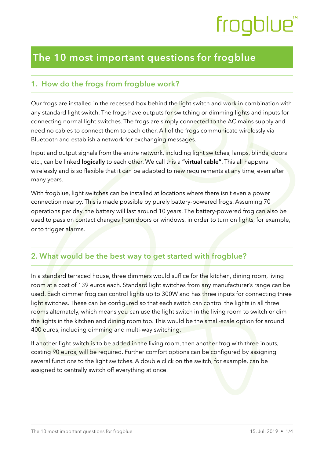# frogblue

### **The 10 most important questions for frogblue**

### **1. How do the frogs from frogblue work?**

Our frogs are installed in the recessed box behind the light switch and work in combination with any standard light switch. The frogs have outputs for switching or dimming lights and inputs for connecting normal light switches. The frogs are simply connected to the AC mains supply and need no cables to connect them to each other. All of the frogs communicate wirelessly via Bluetooth and establish a network for exchanging messages.

Input and output signals from the entire network, including light switches, lamps, blinds, doors etc., can be linked **logically** to each other. We call this a **"virtual cable"**. This all happens wirelessly and is so flexible that it can be adapted to new requirements at any time, even after many years.

With frogblue, light switches can be installed at locations where there isn't even a power connection nearby. This is made possible by purely battery-powered frogs. Assuming 70 operations per day, the battery will last around 10 years. The battery-powered frog can also be used to pass on contact changes from doors or windows, in order to turn on lights, for example, or to trigger alarms.

### **2. What would be the best way to get started with frogblue?**

In a standard terraced house, three dimmers would suffice for the kitchen, dining room, living room at a cost of 139 euros each. Standard light switches from any manufacturer's range can be used. Each dimmer frog can control lights up to 300W and has three inputs for connecting three light switches. These can be configured so that each switch can control the lights in all three rooms alternately, which means you can use the light switch in the living room to switch or dim the lights in the kitchen and dining room too. This would be the small-scale option for around 400 euros, including dimming and multi-way switching.

If another light switch is to be added in the living room, then another frog with three inputs, costing 90 euros, will be required. Further comfort options can be configured by assigning several functions to the light switches. A double click on the switch, for example, can be assigned to centrally switch off everything at once.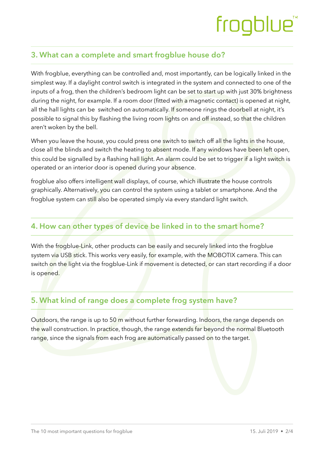## frogblue<sup>"</sup>

### **3. What can a complete and smart frogblue house do?**

With frogblue, everything can be controlled and, most importantly, can be logically linked in the simplest way. If a daylight control switch is integrated in the system and connected to one of the inputs of a frog, then the children's bedroom light can be set to start up with just 30% brightness during the night, for example. If a room door (fitted with a magnetic contact) is opened at night, all the hall lights can be switched on automatically. If someone rings the doorbell at night, it's possible to signal this by flashing the living room lights on and off instead, so that the children aren't woken by the bell.

When you leave the house, you could press one switch to switch off all the lights in the house, close all the blinds and switch the heating to absent mode. If any windows have been left open, this could be signalled by a flashing hall light. An alarm could be set to trigger if a light switch is operated or an interior door is opened during your absence.

frogblue also offers intelligent wall displays, of course, which illustrate the house controls graphically. Alternatively, you can control the system using a tablet or smartphone. And the frogblue system can still also be operated simply via every standard light switch.

### **4. How can other types of device be linked in to the smart home?**

With the frogblue-Link, other products can be easily and securely linked into the frogblue system via USB stick. This works very easily, for example, with the MOBOTIX camera. This can switch on the light via the frogblue-Link if movement is detected, or can start recording if a door is opened.

### **5. What kind of range does a complete frog system have?**

Outdoors, the range is up to 50 m without further forwarding. Indoors, the range depends on the wall construction. In practice, though, the range extends far beyond the normal Bluetooth range, since the signals from each frog are automatically passed on to the target.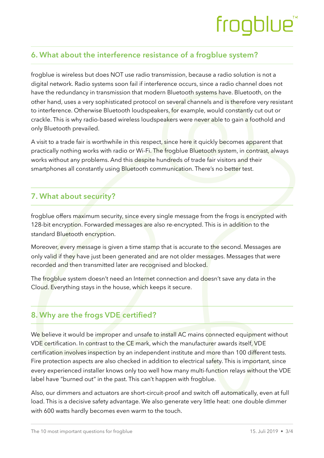# frogblue

### **6. What about the interference resistance of a frogblue system?**

frogblue is wireless but does NOT use radio transmission, because a radio solution is not a digital network. Radio systems soon fail if interference occurs, since a radio channel does not have the redundancy in transmission that modern Bluetooth systems have. Bluetooth, on the other hand, uses a very sophisticated protocol on several channels and is therefore very resistant to interference. Otherwise Bluetooth loudspeakers, for example, would constantly cut out or crackle. This is why radio-based wireless loudspeakers were never able to gain a foothold and only Bluetooth prevailed.

A visit to a trade fair is worthwhile in this respect, since here it quickly becomes apparent that practically nothing works with radio or Wi-Fi. The frogblue Bluetooth system, in contrast, always works without any problems. And this despite hundreds of trade fair visitors and their smartphones all constantly using Bluetooth communication. There's no better test.

#### **7. What about security?**

frogblue offers maximum security, since every single message from the frogs is encrypted with 128-bit encryption. Forwarded messages are also re-encrypted. This is in addition to the standard Bluetooth encryption.

Moreover, every message is given a time stamp that is accurate to the second. Messages are only valid if they have just been generated and are not older messages. Messages that were recorded and then transmitted later are recognised and blocked.

The frogblue system doesn't need an Internet connection and doesn't save any data in the Cloud. Everything stays in the house, which keeps it secure.

### **8. Why are the frogs VDE certified?**

We believe it would be improper and unsafe to install AC mains connected equipment without VDE certification. In contrast to the CE mark, which the manufacturer awards itself, VDE certification involves inspection by an independent institute and more than 100 different tests. Fire protection aspects are also checked in addition to electrical safety. This is important, since every experienced installer knows only too well how many multi-function relays without the VDE label have "burned out" in the past. This can't happen with frogblue.

Also, our dimmers and actuators are short-circuit-proof and switch off automatically, even at full load. This is a decisive safety advantage. We also generate very little heat: one double dimmer with 600 watts hardly becomes even warm to the touch.